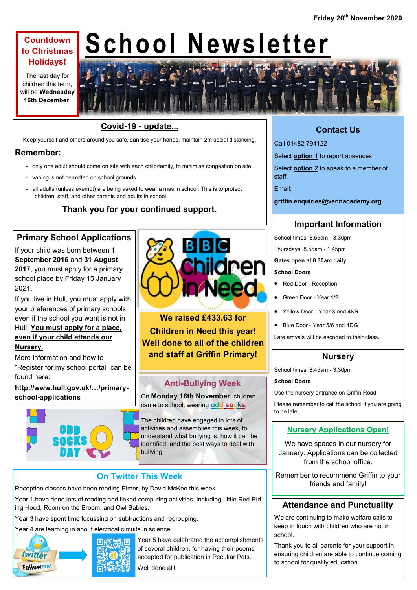## **Countdown to Christmas Holidays!**

The last day for children this term, will be **Wednesday 16th December**.

# **School Newsletter**



Keep yourself and others around you safe, sanitise your hands, maintain 2m social distancing.

## **Remember:**

- only one adult should come on site with each child/family, to minimise congestion on site.
- vaping is not permitted on school grounds.
- all adults (unless exempt) are being asked to wear a mas in school. This is to protect children, staff, and other parents and adults in school.

# **Thank you for your continued support.**

# **Primary School Applications**

If your child was born between **1 September 2016** and **31 August 2017**, you must apply for a primary school place by Friday 15 January 2021.

If you live in Hull, you must apply with your preferences of primary schools, even if the school you want is not in Hull. **You must apply for a place,** 

# **even if your child attends our Nursery.**

More information and how to "Register for my school portal" can be found here:

**http://www.hull.gov.uk/…/primaryschool-applications**





**We raised £433.63 for Children in Need this year! Well done to all of the children and staff at Griffin Primary!**

# **Anti-Bullying Week**

On **Monday 16th November**, children came to school, wearing **odd socks.**

The children have engaged in lots of activities and assemblies this week, to understand what bullying is, how it can be identified, and the best ways to deal with bullying.

## **On Twitter This Week**

Reception classes have been reading Elmer, by David McKee this week.

Year 1 have done lots of reading and linked computing activities, including Little Red Riding Hood, Room on the Broom, and Owl Babies.

Year 3 have spent time focussing on subtractions and regrouping.

Year 4 are learning in about electrical circuits in science.



 $R_{\Box}$  Year 5 have celebrated the accomplishments of several children, for having their poems accepted for publication in Peculiar Pets. Well done all!

# **Contact Us**

Call 01482 794122

Select **option 1** to report absences.

Select **option 2** to speak to a member of staff.

Email:

**griffin.enquiries@vennacademy.org**

## **Important Information**

School times: 8.55am - 3.30pm

Thursdays: 8.55am - 1.45pm

#### **Gates open at 8.30am daily**

#### **School Doors**

- Red Door Reception
- Green Door Year 1/2
- Yellow Door—Year 3 and 4KR
- Blue Door Year 5/6 and 4DG

Late arrivals will be escorted to their class.

## **Nursery**

School times: 8.45am - 3.30pm

#### **School Doors**

Use the nursery entrance on Griffin Road

Please remember to call the school if you are going to be late!

## **Nursery Applications Open!**

We have spaces in our nursery for January. Applications can be collected from the school office.

Remember to recommend Griffin to your friends and family!

## **Attendance and Punctuality**

We are continuing to make welfare calls to keep in touch with children who are not in school.

Thank you to all parents for your support in ensuring children are able to continue coming to school for quality education.